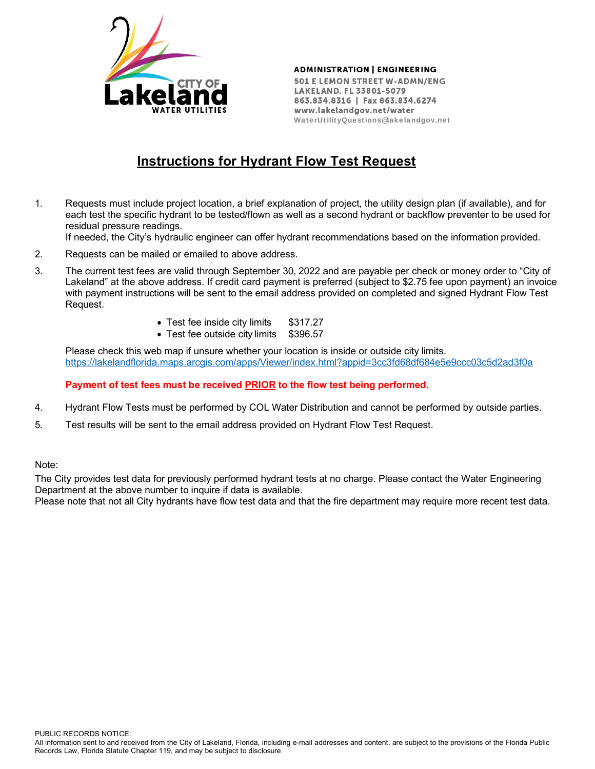

**ADMINISTRATION | ENGINEERING** 

501 E LEMON STREET W-ADMN/ENG LAKELAND, FL 33801-5079 863.834.8316 | Fax 863.834.6274 www.lakelandgov.net/water WaterUtilityQuestions@lakelandgov.net

## **Instructions for Hydrant Flow Test Request**

1. Requests must include project location, a brief explanation of project, the utility design plan (if available), and for each test the specific hydrant to be tested/flown as well as a second hydrant or backflow preventer to be used for residual pressure readings.

If needed, the City's hydraulic engineer can offer hydrant recommendations based on the information provided.

- 2. Requests can be mailed or emailed to above address.
- 3. The current test fees are valid through September 30, 2022 and are payable per check or money order to "City of Lakeland" at the above address. If credit card payment is preferred (subject to \$2.75 fee upon payment) an invoice with payment instructions will be sent to the email address provided on completed and signed Hydrant Flow Test Request.
	- Test fee inside city limits \$317.27
	- Test fee outside city limits \$396.57

Please check this web map if unsure whether your location is inside or outside city limits. https://lakelandflorida.maps.arcgis.com/apps/Viewer/index.html?appid=3cc3fd68df684e5e9ccc03c5d2ad3f0a

## **Payment of test fees must be received PRIOR to the flow test being performed.**

- 4. Hydrant Flow Tests must be performed by COL Water Distribution and cannot be performed by outside parties.
- 5. Test results will be sent to the email address provided on Hydrant Flow Test Request.

## Note:

The City provides test data for previously performed hydrant tests at no charge. Please contact the Water Engineering Department at the above number to inquire if data is available.

Please note that not all City hydrants have flow test data and that the fire department may require more recent test data.

PUBLIC RECORDS NOTICE: